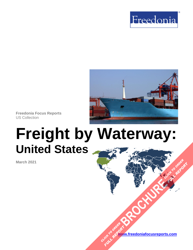



**Freedonia Focus Reports** US Collection

# **Freight by Waterway: United States**

**March 2021**

**[www.freedoniafocusreports.com](https://www.freedoniafocusreports.com/redirect.asp?progid=89534&url=/)** CLICK TO ORDER **FULL REPORT** 

**[BROCHURE](https://www.freedoniafocusreports.com/Freight-by-Waterway-United-States-FF85027/?progid=89541) CLICK TO ORDER** 

**FULL REPORT**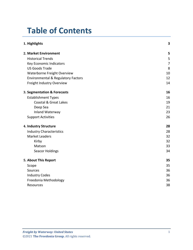# **Table of Contents**

| 1. Highlights                                 | 3  |
|-----------------------------------------------|----|
| 2. Market Environment                         | 5  |
| <b>Historical Trends</b>                      | 5  |
| Key Economic Indicators                       | 7  |
| <b>US Goods Trade</b>                         | 8  |
| Waterborne Freight Overview                   | 10 |
| <b>Environmental &amp; Regulatory Factors</b> | 12 |
| Freight Industry Overview                     | 14 |
| 3. Segmentation & Forecasts                   | 16 |
| <b>Establishment Types</b>                    | 16 |
| <b>Coastal &amp; Great Lakes</b>              | 19 |
| Deep Sea                                      | 21 |
| Inland Waterway                               | 23 |
| <b>Support Activities</b>                     | 26 |
| 4. Industry Structure                         | 28 |
| <b>Industry Characteristics</b>               | 28 |
| <b>Market Leaders</b>                         | 32 |
| Kirby                                         | 32 |
| Matson                                        | 33 |
| <b>Seacor Holdings</b>                        | 34 |
| 5. About This Report                          | 35 |
| Scope                                         | 35 |
| Sources                                       | 36 |
| <b>Industry Codes</b>                         | 36 |
| Freedonia Methodology                         | 36 |
| Resources                                     | 38 |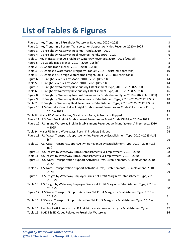# **List of Tables & Figures**

| Figure 1   Key Trends in US Freight by Waterway Revenue, 2020 - 2025                                          | 3  |
|---------------------------------------------------------------------------------------------------------------|----|
| Figure 2   Key Trends in US Water Transportation Support Activities Revenue, 2020 - 2025                      | 4  |
| Figure 3   US Freight by Waterway Revenue Trends, 2010 - 2020                                                 | 5  |
| Figure 4   US Freight by Waterway Real Revenue Trends, 2010 - 2020                                            | 6  |
| Table 1   Key Indicators for US Freight by Waterway Revenues, 2010 - 2025 (US\$ bil)                          | 7  |
| Figure 5   US Goods Trade Trends, 2010 - 2020 (US\$ bil)                                                      | 8  |
| Table 2   US Goods Trade Trends, 2010 - 2020 (US\$ bil)                                                       | 8  |
| Table 3   US Domestic Waterborne Freight by Product, 2014 - 2019 (mil short tons)                             | 10 |
| Table 4   US Domestic & Foreign Waterborne Freight, 2014 - 2019 (mil short tons)                              | 11 |
| Figure 6   US Freight Revenues by Mode, 2010 - 2020 (US\$ bil)                                                | 14 |
| Table 5   US Freight Revenues by Mode, 2010 - 2020 (US\$ bil)                                                 | 14 |
| Figure 7   US Freight by Waterway Revenues by Establishment Type, 2010 - 2025 (US\$ bil)                      | 16 |
| Table 6   US Freight by Waterway Revenues by Establishment Type, 2010 - 2025 (US\$ mil)                       | 16 |
| Figure 8   US Freight by Waterway Nominal Revenues by Establishment Type, 2010 - 2025 (% of US\$)             | 17 |
| Figure 9   US Freight by Waterway Real Revenues by Establishment Type, 2010 - 2025 (2012US\$ bil)             | 18 |
| Table 7   US Freight by Waterway Real Revenues by Establishment Type, 2010 - 2025 (2012US\$ mil)              | 18 |
| Figure 10   US Coastal & Great Lakes Freight Establishment Revenues w/ Crude Oil & Liquids Prdtn,             |    |
| $2010 - 2025$                                                                                                 | 19 |
| Table 8   Major US Coastal Routes, Great Lakes Ports, & Products Shipped                                      | 21 |
| Figure 11   US Deep Sea Freight Establishment Revenues w/ Brent Crude Oil Price, 2010 - 2025                  | 22 |
| Figure 12   US Inland Waterway Freight Establishment Revenues w/ Manufacturers' Shipments, 2010               |    |
| $-2025$                                                                                                       | 23 |
| Table 9   Major US Inland Waterways, Ports, & Products Shipped                                                | 24 |
| Figure 13   US Water Transport Support Activities Revenue by Establishment Type, 2010 - 2025 (US\$<br>bil)    | 26 |
| Table 10   US Water Transport Support Activities Revenue by Establishment Type, 2010 - 2025 (US\$<br>mil)     | 26 |
| Figure 14   US Freight by Waterway Firms, Establishments, & Employment, 2010 - 2020                           | 28 |
| Table 11   US Freight by Waterway Firms, Establishments, & Employment, 2010 - 2020                            | 28 |
| Figure 15   US Water Transportation Support Activities Firms, Establishments, & Employment, 2010 -            |    |
| 2020                                                                                                          | 29 |
| Table 12   US Water Transportation Support Activities Firms, Establishments, & Employment, 2010 -<br>2020     | 29 |
| Figure 16   US Freight by Waterway Employer Firms Net Profit Margin by Establishment Type, 2010 -<br>2019(%)  | 30 |
| Table 13   US Freight by Waterway Employer Firms Net Profit Margin by Establishment Type, 2010 -<br>2019 (%)  | 30 |
| Figure 17   US Water Transport Support Activities Net Profit Margin by Establishment Type, 2010 -<br>2019 (%) | 31 |
| Table 14   US Water Transport Support Activities Net Profit Margin by Establishment Type, 2010 -              |    |
| 2019 (%)                                                                                                      | 31 |
| Table 15   Leading Participants in the US Freight by Waterway Industry by Establishment Type                  | 32 |
| Table 16   NAICS & SIC Codes Related to Freight by Waterway                                                   | 36 |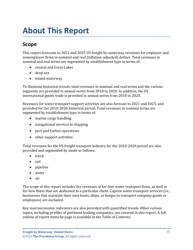# <span id="page-3-0"></span>**About This Report**

# <span id="page-3-1"></span>**Scope**

This report forecasts to 2021 and 2025 US freight by waterway revenues for employer and nonemployer firms in nominal and real (inflation-adjusted) dollars. Total revenues in nominal and real terms are segmented by establishment type in terms of:

- coastal and Great Lakes
- deep sea
- inland waterway

To illustrate historical trends, total revenues in nominal and real terms and the various segments are provided in annual series from 2010 to 2020. In addition, the US international goods trade is provided in annual series from 2010 to 2020.

Revenues for water transport support activities are also forecast to 2021 and 2025, and provided for the 2010-2020 historical period. Total revenues in nominal terms are segmented by establishment type in terms of:

- marine cargo handling
- navigational services to shipping
- port and harbor operations
- other support activities

Total revenues for the US freight transport industry for the 2010-2020 period are also provided and segmented by mode as follows:

- truck
- rail
- pipeline
- water
- air

The scope of this report includes the revenues of for-hire water transport firms, as well as for-hire fleets that are dedicated to a particular client. Captive water transport services (i.e., businesses that maintain their own boats, ships, or barges to transport company goods or employees) are excluded.

Key macroeconomic indicators are also provided with quantified trends. Other various topics, including profiles of pertinent leading companies, are covered in this report. A full outline of report items by page is available in the Table of Contents.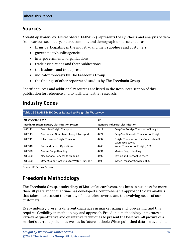### <span id="page-4-0"></span>**Sources**

*Freight by Waterway: United States* (FF85027) represents the synthesis and analysis of data from various secondary, macroeconomic, and demographic sources, such as:

- firms participating in the industry, and their suppliers and customers
- government/public agencies
- intergovernmental organizations
- trade associations and their publications
- the business and trade press
- indicator forecasts by The Freedonia Group
- the findings of other reports and studies by The Freedonia Group

Specific sources and additional resources are listed in the Resources section of this publication for reference and to facilitate further research.

### <span id="page-4-1"></span>**Industry Codes**

<span id="page-4-3"></span>

| Table 16   NAICS & SIC Codes Related to Freight by Waterway                     |                                              |                                           |                                                             |  |
|---------------------------------------------------------------------------------|----------------------------------------------|-------------------------------------------|-------------------------------------------------------------|--|
| <b>NAICS/SCIAN 2017</b><br><b>North American Industry Classification System</b> |                                              | <b>SIC</b>                                |                                                             |  |
|                                                                                 |                                              | <b>Standard Industrial Classification</b> |                                                             |  |
| 483111                                                                          | Deep Sea Freight Transport                   | 4412                                      | Deep Sea Foreign Transport of Freight                       |  |
| 483113                                                                          | Coastal and Great Lakes Freight Transport    | 4424                                      | Deep Sea Domestic Transport of Freight                      |  |
| 483211                                                                          | Inland Water Freight Transport               | 4432                                      | Freight Transport on the Great Lakes-St.<br>Lawrence Seaway |  |
| 488310                                                                          | Port and Harbor Operations                   | 4449                                      | Water Transport of Freight, NEC                             |  |
| 488320                                                                          | Marine Cargo Handling                        | 4491                                      | Marine Cargo Handling                                       |  |
| 488330                                                                          | Navigational Services to Shipping            | 4492                                      | <b>Towing and Tugboat Services</b>                          |  |
| 488390                                                                          | Other Support Activities for Water Transport | 4499                                      | Water Transport Services, NEC                               |  |

Source: US Census Bureau

# <span id="page-4-2"></span>**Freedonia Methodology**

The Freedonia Group, a subsidiary of MarketResearch.com, has been in business for more than 30 years and in that time has developed a comprehensive approach to data analysis that takes into account the variety of industries covered and the evolving needs of our customers.

Every industry presents different challenges in market sizing and forecasting, and this requires flexibility in methodology and approach. Freedonia methodology integrates a variety of quantitative and qualitative techniques to present the best overall picture of a market's current position as well as its future outlook: When published data are available,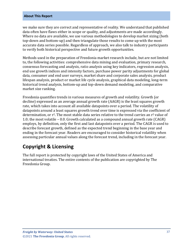#### **About This Report**

we make sure they are correct and representative of reality. We understand that published data often have flaws either in scope or quality, and adjustments are made accordingly. Where no data are available, we use various methodologies to develop market sizing (both top-down and bottom-up) and then triangulate those results to come up with the most accurate data series possible. Regardless of approach, we also talk to industry participants to verify both historical perspective and future growth opportunities.

Methods used in the preparation of Freedonia market research include, but are not limited to, the following activities: comprehensive data mining and evaluation, primary research, consensus forecasting and analysis, ratio analysis using key indicators, regression analysis, end use growth indices and intensity factors, purchase power parity adjustments for global data, consumer and end user surveys, market share and corporate sales analysis, product lifespan analysis, product or market life cycle analysis, graphical data modeling, long-term historical trend analysis, bottom-up and top-down demand modeling, and comparative market size ranking.

Freedonia quantifies trends in various measures of growth and volatility. Growth (or decline) expressed as an average annual growth rate (AAGR) is the least squares growth rate, which takes into account all available datapoints over a period. The volatility of datapoints around a least squares growth trend over time is expressed via the coefficient of determination, or  $r^2$ . The most stable data series relative to the trend carries an  $r^2$  value of 1.0; the most volatile – 0.0. Growth calculated as a compound annual growth rate (CAGR) employs, by definition, only the first and last datapoints over a period. The CAGR is used to describe forecast growth, defined as the expected trend beginning in the base year and ending in the forecast year. Readers are encouraged to consider historical volatility when assessing particular annual values along the forecast trend, including in the forecast year.

### **Copyright & Licensing**

The full report is protected by copyright laws of the United States of America and international treaties. The entire contents of the publication are copyrighted by The Freedonia Group.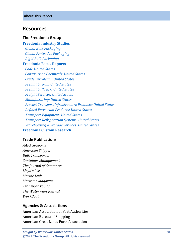#### <span id="page-6-0"></span>**Resources**

#### **The Freedonia Group**

**[Freedonia Industry Studies](http://www.freedoniagroup.com/Home.aspx?ReferrerId=FL-Focus)**  *[Global Bulk Packaging](http://www.freedoniagroup.com/DocumentDetails.aspx?ReferrerId=FL-FOCUS&studyid=3612) [Global Protective Packaging](http://www.freedoniagroup.com/DocumentDetails.aspx?ReferrerId=FL-FOCUS&studyid=3741) [Rigid Bulk Packaging](http://www.freedoniagroup.com/DocumentDetails.aspx?ReferrerId=FL-FOCUS&studyid=3704)* **Freedonia [Focus Reports](https://www.freedoniafocusreports.com/redirect.asp?progid=89534&url=/)**  *[Coal: United States](https://www.freedoniafocusreports.com/Coal-United-States-FF45012/?progid=89534) [Construction Chemicals: United States](https://www.freedoniafocusreports.com/Construction-Chemicals-United-States-FF35053/?progid=89534) [Crude Petroleum: United States](https://www.freedoniafocusreports.com/Crude-Petroleum-United-States-FF45019/?progid=89534) [Freight by Rail: United States](https://www.freedoniafocusreports.com/Freight-by-Rail-United-States-FF85019/?progid=89534) [Freight by Truck: United States](https://www.freedoniafocusreports.com/Freight-by-Truck-United-States-FF85026/?progid=89534) [Freight Services: United States](https://www.freedoniafocusreports.com/Freight-Services-United-States-FF95064/?progid=89534) [Manufacturing: United States](https://www.freedoniafocusreports.com/Manufacturing-United-States-FF70032/?progid=89534) [Precast Transport Infrastructure Products: United States](https://www.freedoniafocusreports.com/Precast-Transport-Infrastructure-Products-United-States-FF60083/?progid=89534) [Refined Petroleum Products: United States](https://www.freedoniafocusreports.com/Refined-Petroleum-Products-United-States-FF45023/?progid=89534) [Transport Equipment: United States](https://www.freedoniafocusreports.com/Transport-Equipment-United-States-FF85030/?progid=89534) [Transport Refrigeration Systems: United States](https://www.freedoniafocusreports.com/Transport-Refrigeration-Systems-United-States-FF85034/?progid=89534) [Warehousing & Storage Services: United States](https://www.freedoniafocusreports.com/Warehousing-Storage-Services-United-States-FF95041/?progid=89534)* **[Freedonia Custom Research](http://www.freedoniagroup.com/CustomResearch.aspx?ReferrerId=FL-Focus)**

#### **Trade Publications**

*AAPA Seaports American Shipper Bulk Transporter Container Management The Journal of Commerce Lloyd's List Marine Link Maritime Magazine Transport Topics The Waterways Journal WorkBoat*

#### **Agencies & Associations**

American Association of Port Authorities American Bureau of Shipping American Great Lakes Ports Association